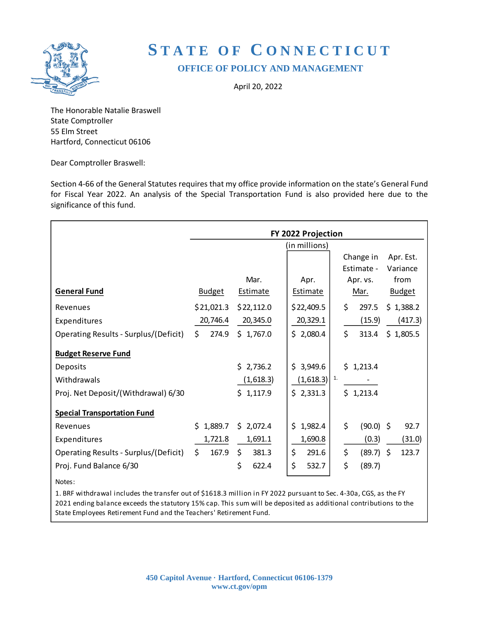

# **S T A T E O F C O N N E C T I C U T OFFICE OF POLICY AND MANAGEMENT**

April 20, 2022

The Honorable Natalie Braswell State Comptroller 55 Elm Street Hartford, Connecticut 06106

Dear Comptroller Braswell:

Section 4-66 of the General Statutes requires that my office provide information on the state's General Fund for Fiscal Year 2022. An analysis of the Special Transportation Fund is also provided here due to the significance of this fund.

|                                       | FY 2022 Projection |                 |                           |                   |               |  |  |
|---------------------------------------|--------------------|-----------------|---------------------------|-------------------|---------------|--|--|
|                                       |                    |                 | (in millions)             |                   |               |  |  |
|                                       |                    |                 |                           | Change in         | Apr. Est.     |  |  |
|                                       |                    |                 |                           | Estimate -        | Variance      |  |  |
|                                       |                    | Mar.            | Apr.                      | Apr. vs.          | from          |  |  |
| <b>General Fund</b>                   | <b>Budget</b>      | <b>Estimate</b> | <b>Estimate</b>           | Mar.              | <b>Budget</b> |  |  |
| Revenues                              | \$21,021.3         | \$22,112.0      | \$22,409.5                | \$<br>297.5       | \$1,388.2     |  |  |
| Expenditures                          | 20,746.4           | 20,345.0        | 20,329.1                  | (15.9)            | (417.3)       |  |  |
| Operating Results - Surplus/(Deficit) | \$<br>274.9        | \$1,767.0       | \$2,080.4                 | \$<br>313.4       | \$1,805.5     |  |  |
| <b>Budget Reserve Fund</b>            |                    |                 |                           |                   |               |  |  |
| Deposits                              |                    | \$2,736.2       | \$3,949.6                 | \$1,213.4         |               |  |  |
| Withdrawals                           |                    | (1,618.3)       | $(1,618.3)$ <sup>1.</sup> |                   |               |  |  |
| Proj. Net Deposit/(Withdrawal) 6/30   |                    | \$1,117.9       | \$2,331.3                 | \$1,213.4         |               |  |  |
| <b>Special Transportation Fund</b>    |                    |                 |                           |                   |               |  |  |
| Revenues                              | \$1,889.7          | \$2,072.4       | \$1,982.4                 | \$<br>$(90.0)$ \$ | 92.7          |  |  |
| Expenditures                          | 1,721.8            | 1,691.1         | 1,690.8                   | (0.3)             | (31.0)        |  |  |
| Operating Results - Surplus/(Deficit) | \$<br>167.9        | \$.<br>381.3    | \$<br>291.6               | \$<br>$(89.7)$ \$ | 123.7         |  |  |
| Proj. Fund Balance 6/30               |                    | \$<br>622.4     | \$<br>532.7               | \$<br>(89.7)      |               |  |  |
| Notes:                                |                    |                 |                           |                   |               |  |  |

1. BRF withdrawal includes the transfer out of \$1618.3 million in FY 2022 pursuant to Sec. 4-30a, CGS, as the FY 2021 ending balance exceeds the statutory 15% cap. This sum will be deposited as additional contributions to the State Employees Retirement Fund and the Teachers' Retirement Fund.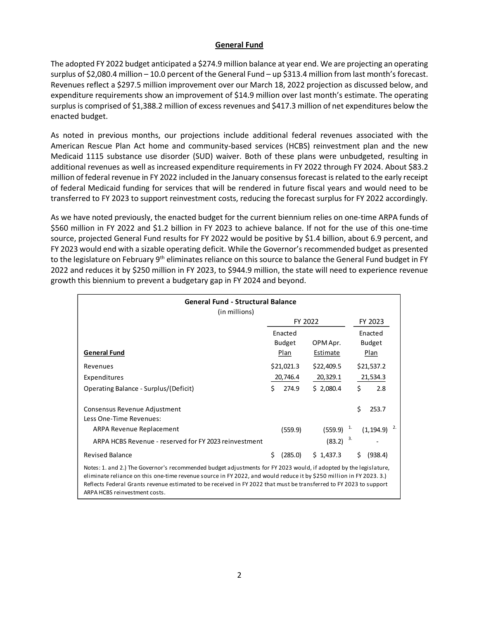#### **General Fund**

The adopted FY 2022 budget anticipated a \$274.9 million balance at year end. We are projecting an operating surplus of \$2,080.4 million – 10.0 percent of the General Fund – up \$313.4 million from last month's forecast. Revenues reflect a \$297.5 million improvement over our March 18, 2022 projection as discussed below, and expenditure requirements show an improvement of \$14.9 million over last month's estimate. The operating surplus is comprised of \$1,388.2 million of excess revenues and \$417.3 million of net expenditures below the enacted budget.

As noted in previous months, our projections include additional federal revenues associated with the American Rescue Plan Act home and community-based services (HCBS) reinvestment plan and the new Medicaid 1115 substance use disorder (SUD) waiver. Both of these plans were unbudgeted, resulting in additional revenues as well as increased expenditure requirements in FY 2022 through FY 2024. About \$83.2 million of federal revenue in FY 2022 included in the January consensus forecast is related to the early receipt of federal Medicaid funding for services that will be rendered in future fiscal years and would need to be transferred to FY 2023 to support reinvestment costs, reducing the forecast surplus for FY 2022 accordingly.

As we have noted previously, the enacted budget for the current biennium relies on one-time ARPA funds of \$560 million in FY 2022 and \$1.2 billion in FY 2023 to achieve balance. If not for the use of this one-time source, projected General Fund results for FY 2022 would be positive by \$1.4 billion, about 6.9 percent, and FY 2023 would end with a sizable operating deficit. While the Governor's recommended budget as presented to the legislature on February 9<sup>th</sup> eliminates reliance on this source to balance the General Fund budget in FY 2022 and reduces it by \$250 million in FY 2023, to \$944.9 million, the state will need to experience revenue growth this biennium to prevent a budgetary gap in FY 2024 and beyond.

| <b>General Fund - Structural Balance</b>                                                                                                                                                                                                                                                                                                                                                       |    |               |            |    |                   |     |  |
|------------------------------------------------------------------------------------------------------------------------------------------------------------------------------------------------------------------------------------------------------------------------------------------------------------------------------------------------------------------------------------------------|----|---------------|------------|----|-------------------|-----|--|
| (in millions)                                                                                                                                                                                                                                                                                                                                                                                  |    |               |            |    |                   |     |  |
|                                                                                                                                                                                                                                                                                                                                                                                                |    | FY 2022       |            |    | FY 2023           |     |  |
|                                                                                                                                                                                                                                                                                                                                                                                                |    | Enacted       |            |    | Enacted           |     |  |
|                                                                                                                                                                                                                                                                                                                                                                                                |    | <b>Budget</b> | OPM Apr.   |    | <b>Budget</b>     |     |  |
| <b>General Fund</b>                                                                                                                                                                                                                                                                                                                                                                            |    | Plan          | Estimate   |    | Plan              |     |  |
| Revenues                                                                                                                                                                                                                                                                                                                                                                                       |    | \$21,021.3    | \$22,409.5 |    | \$21,537.2        |     |  |
| Expenditures                                                                                                                                                                                                                                                                                                                                                                                   |    | 20,746.4      | 20,329.1   |    | 21,534.3          |     |  |
| Operating Balance - Surplus/(Deficit)                                                                                                                                                                                                                                                                                                                                                          | Ś. | 274.9         | \$2,080.4  |    | \$                | 2.8 |  |
| Consensus Revenue Adjustment                                                                                                                                                                                                                                                                                                                                                                   |    |               |            |    | \$<br>253.7       |     |  |
| Less One-Time Revenues:                                                                                                                                                                                                                                                                                                                                                                        |    |               |            |    |                   |     |  |
| ARPA Revenue Replacement                                                                                                                                                                                                                                                                                                                                                                       |    | (559.9)       | (559.9)    | 1. | $(1, 194.9)^{-2}$ |     |  |
| ARPA HCBS Revenue - reserved for FY 2023 reinvestment                                                                                                                                                                                                                                                                                                                                          |    |               | (83.2)     | 3. |                   |     |  |
| <b>Revised Balance</b>                                                                                                                                                                                                                                                                                                                                                                         | Ś  | (285.0)       | \$1,437.3  |    | \$<br>(938.4)     |     |  |
| Notes: 1. and 2.) The Governor's recommended budget adjustments for FY 2023 would, if adopted by the legislature,<br>eliminate reliance on this one-time revenue source in FY 2022, and would reduce it by \$250 million in FY 2023.3.)<br>Reflects Federal Grants revenue estimated to be received in FY 2022 that must be transferred to FY 2023 to support<br>ARPA HCBS reinvestment costs. |    |               |            |    |                   |     |  |

2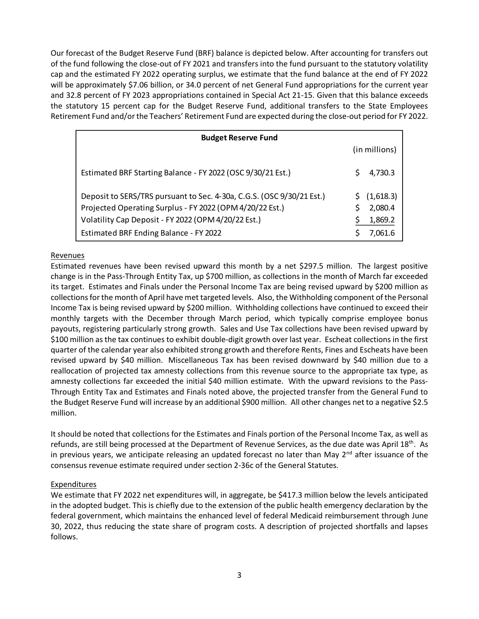Our forecast of the Budget Reserve Fund (BRF) balance is depicted below. After accounting for transfers out of the fund following the close-out of FY 2021 and transfers into the fund pursuant to the statutory volatility cap and the estimated FY 2022 operating surplus, we estimate that the fund balance at the end of FY 2022 will be approximately \$7.06 billion, or 34.0 percent of net General Fund appropriations for the current year and 32.8 percent of FY 2023 appropriations contained in Special Act 21-15. Given that this balance exceeds the statutory 15 percent cap for the Budget Reserve Fund, additional transfers to the State Employees Retirement Fund and/or the Teachers' Retirement Fund are expected during the close-out period for FY 2022.

| <b>Budget Reserve Fund</b>                                            |    |               |  |  |  |  |
|-----------------------------------------------------------------------|----|---------------|--|--|--|--|
|                                                                       |    | (in millions) |  |  |  |  |
| Estimated BRF Starting Balance - FY 2022 (OSC 9/30/21 Est.)           | S. | 4,730.3       |  |  |  |  |
| Deposit to SERS/TRS pursuant to Sec. 4-30a, C.G.S. (OSC 9/30/21 Est.) |    | (1,618.3)     |  |  |  |  |
| Projected Operating Surplus - FY 2022 (OPM 4/20/22 Est.)              |    | 2,080.4       |  |  |  |  |
| Volatility Cap Deposit - FY 2022 (OPM 4/20/22 Est.)                   |    | 1,869.2       |  |  |  |  |
| Estimated BRF Ending Balance - FY 2022                                |    | 7.061.6       |  |  |  |  |

#### Revenues

Estimated revenues have been revised upward this month by a net \$297.5 million. The largest positive change is in the Pass-Through Entity Tax, up \$700 million, as collections in the month of March far exceeded its target. Estimates and Finals under the Personal Income Tax are being revised upward by \$200 million as collections for the month of April have met targeted levels. Also, the Withholding component of the Personal Income Tax is being revised upward by \$200 million. Withholding collections have continued to exceed their monthly targets with the December through March period, which typically comprise employee bonus payouts, registering particularly strong growth. Sales and Use Tax collections have been revised upward by \$100 million as the tax continues to exhibit double-digit growth over last year. Escheat collections in the first quarter of the calendar year also exhibited strong growth and therefore Rents, Fines and Escheats have been revised upward by \$40 million. Miscellaneous Tax has been revised downward by \$40 million due to a reallocation of projected tax amnesty collections from this revenue source to the appropriate tax type, as amnesty collections far exceeded the initial \$40 million estimate. With the upward revisions to the Pass-Through Entity Tax and Estimates and Finals noted above, the projected transfer from the General Fund to the Budget Reserve Fund will increase by an additional \$900 million. All other changes net to a negative \$2.5 million.

It should be noted that collections for the Estimates and Finals portion of the Personal Income Tax, as well as refunds, are still being processed at the Department of Revenue Services, as the due date was April 18<sup>th</sup>. As in previous years, we anticipate releasing an updated forecast no later than May  $2<sup>nd</sup>$  after issuance of the consensus revenue estimate required under section 2-36c of the General Statutes.

#### Expenditures

We estimate that FY 2022 net expenditures will, in aggregate, be \$417.3 million below the levels anticipated in the adopted budget. This is chiefly due to the extension of the public health emergency declaration by the federal government, which maintains the enhanced level of federal Medicaid reimbursement through June 30, 2022, thus reducing the state share of program costs. A description of projected shortfalls and lapses follows.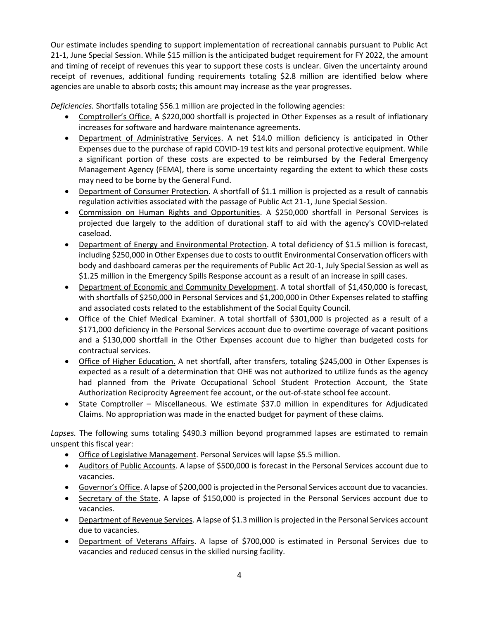Our estimate includes spending to support implementation of recreational cannabis pursuant to Public Act 21-1, June Special Session. While \$15 million is the anticipated budget requirement for FY 2022, the amount and timing of receipt of revenues this year to support these costs is unclear. Given the uncertainty around receipt of revenues, additional funding requirements totaling \$2.8 million are identified below where agencies are unable to absorb costs; this amount may increase as the year progresses.

*Deficiencies.* Shortfalls totaling \$56.1 million are projected in the following agencies:

- Comptroller's Office. A \$220,000 shortfall is projected in Other Expenses as a result of inflationary increases for software and hardware maintenance agreements.
- Department of Administrative Services. A net \$14.0 million deficiency is anticipated in Other Expenses due to the purchase of rapid COVID-19 test kits and personal protective equipment. While a significant portion of these costs are expected to be reimbursed by the Federal Emergency Management Agency (FEMA), there is some uncertainty regarding the extent to which these costs may need to be borne by the General Fund.
- Department of Consumer Protection. A shortfall of \$1.1 million is projected as a result of cannabis regulation activities associated with the passage of Public Act 21-1, June Special Session.
- Commission on Human Rights and Opportunities. A \$250,000 shortfall in Personal Services is projected due largely to the addition of durational staff to aid with the agency's COVID-related caseload.
- Department of Energy and Environmental Protection. A total deficiency of \$1.5 million is forecast, including \$250,000 in Other Expenses due to costs to outfit Environmental Conservation officers with body and dashboard cameras per the requirements of Public Act 20-1, July Special Session as well as \$1.25 million in the Emergency Spills Response account as a result of an increase in spill cases.
- Department of Economic and Community Development. A total shortfall of \$1,450,000 is forecast, with shortfalls of \$250,000 in Personal Services and \$1,200,000 in Other Expenses related to staffing and associated costs related to the establishment of the Social Equity Council.
- Office of the Chief Medical Examiner. A total shortfall of \$301,000 is projected as a result of a \$171,000 deficiency in the Personal Services account due to overtime coverage of vacant positions and a \$130,000 shortfall in the Other Expenses account due to higher than budgeted costs for contractual services.
- Office of Higher Education. A net shortfall, after transfers, totaling \$245,000 in Other Expenses is expected as a result of a determination that OHE was not authorized to utilize funds as the agency had planned from the Private Occupational School Student Protection Account, the State Authorization Reciprocity Agreement fee account, or the out-of-state school fee account.
- State Comptroller Miscellaneous. We estimate \$37.0 million in expenditures for Adjudicated Claims. No appropriation was made in the enacted budget for payment of these claims.

Lapses. The following sums totaling \$490.3 million beyond programmed lapses are estimated to remain unspent this fiscal year:

- Office of Legislative Management. Personal Services will lapse \$5.5 million.
- Auditors of Public Accounts. A lapse of \$500,000 is forecast in the Personal Services account due to vacancies.
- Governor's Office. A lapse of \$200,000 is projected in the Personal Services account due to vacancies.
- Secretary of the State. A lapse of \$150,000 is projected in the Personal Services account due to vacancies.
- Department of Revenue Services. A lapse of \$1.3 million is projected in the Personal Services account due to vacancies.
- Department of Veterans Affairs. A lapse of \$700,000 is estimated in Personal Services due to vacancies and reduced census in the skilled nursing facility.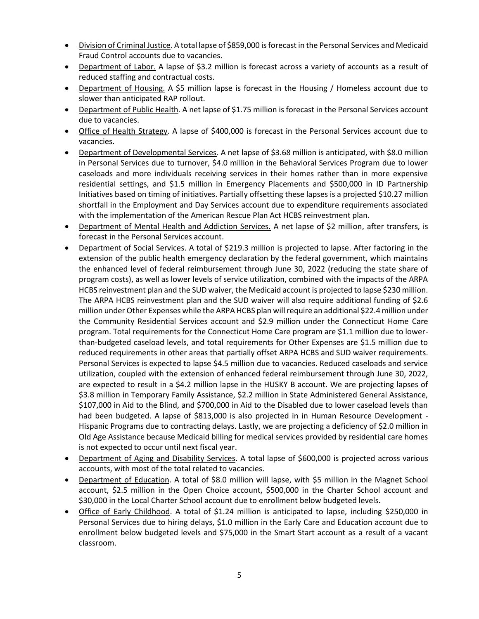- Division of Criminal Justice. A total lapse of \$859,000 is forecast in the Personal Services and Medicaid Fraud Control accounts due to vacancies.
- Department of Labor. A lapse of \$3.2 million is forecast across a variety of accounts as a result of reduced staffing and contractual costs.
- Department of Housing. A \$5 million lapse is forecast in the Housing / Homeless account due to slower than anticipated RAP rollout.
- Department of Public Health. A net lapse of \$1.75 million is forecast in the Personal Services account due to vacancies.
- Office of Health Strategy. A lapse of \$400,000 is forecast in the Personal Services account due to vacancies.
- Department of Developmental Services. A net lapse of \$3.68 million is anticipated, with \$8.0 million in Personal Services due to turnover, \$4.0 million in the Behavioral Services Program due to lower caseloads and more individuals receiving services in their homes rather than in more expensive residential settings, and \$1.5 million in Emergency Placements and \$500,000 in ID Partnership Initiatives based on timing of initiatives. Partially offsetting these lapses is a projected \$10.27 million shortfall in the Employment and Day Services account due to expenditure requirements associated with the implementation of the American Rescue Plan Act HCBS reinvestment plan.
- Department of Mental Health and Addiction Services. A net lapse of \$2 million, after transfers, is forecast in the Personal Services account.
- Department of Social Services. A total of \$219.3 million is projected to lapse. After factoring in the extension of the public health emergency declaration by the federal government, which maintains the enhanced level of federal reimbursement through June 30, 2022 (reducing the state share of program costs), as well as lower levels of service utilization, combined with the impacts of the ARPA HCBS reinvestment plan and the SUD waiver, the Medicaid account is projected to lapse \$230 million. The ARPA HCBS reinvestment plan and the SUD waiver will also require additional funding of \$2.6 million under Other Expenses while the ARPA HCBS plan will require an additional \$22.4 million under the Community Residential Services account and \$2.9 million under the Connecticut Home Care program. Total requirements for the Connecticut Home Care program are \$1.1 million due to lowerthan-budgeted caseload levels, and total requirements for Other Expenses are \$1.5 million due to reduced requirements in other areas that partially offset ARPA HCBS and SUD waiver requirements. Personal Services is expected to lapse \$4.5 million due to vacancies. Reduced caseloads and service utilization, coupled with the extension of enhanced federal reimbursement through June 30, 2022, are expected to result in a \$4.2 million lapse in the HUSKY B account. We are projecting lapses of \$3.8 million in Temporary Family Assistance, \$2.2 million in State Administered General Assistance, \$107,000 in Aid to the Blind, and \$700,000 in Aid to the Disabled due to lower caseload levels than had been budgeted. A lapse of \$813,000 is also projected in in Human Resource Development - Hispanic Programs due to contracting delays. Lastly, we are projecting a deficiency of \$2.0 million in Old Age Assistance because Medicaid billing for medical services provided by residential care homes is not expected to occur until next fiscal year.
- Department of Aging and Disability Services. A total lapse of \$600,000 is projected across various accounts, with most of the total related to vacancies.
- Department of Education. A total of \$8.0 million will lapse, with \$5 million in the Magnet School account, \$2.5 million in the Open Choice account, \$500,000 in the Charter School account and \$30,000 in the Local Charter School account due to enrollment below budgeted levels.
- Office of Early Childhood. A total of \$1.24 million is anticipated to lapse, including \$250,000 in Personal Services due to hiring delays, \$1.0 million in the Early Care and Education account due to enrollment below budgeted levels and \$75,000 in the Smart Start account as a result of a vacant classroom.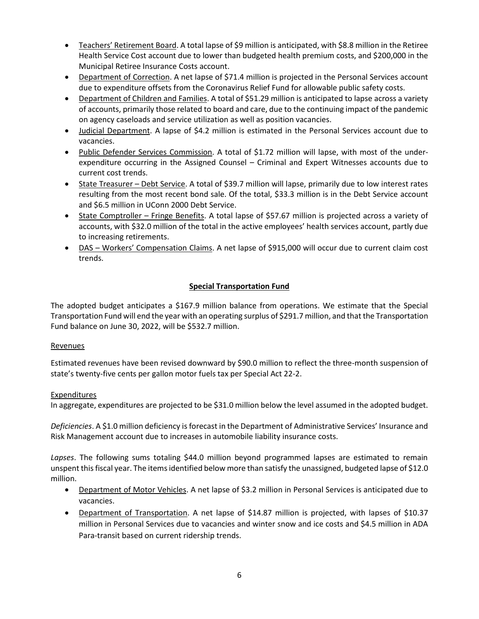- Teachers' Retirement Board. A total lapse of \$9 million is anticipated, with \$8.8 million in the Retiree Health Service Cost account due to lower than budgeted health premium costs, and \$200,000 in the Municipal Retiree Insurance Costs account.
- Department of Correction. A net lapse of \$71.4 million is projected in the Personal Services account due to expenditure offsets from the Coronavirus Relief Fund for allowable public safety costs.
- Department of Children and Families. A total of \$51.29 million is anticipated to lapse across a variety of accounts, primarily those related to board and care, due to the continuing impact of the pandemic on agency caseloads and service utilization as well as position vacancies.
- Judicial Department. A lapse of \$4.2 million is estimated in the Personal Services account due to vacancies.
- Public Defender Services Commission. A total of \$1.72 million will lapse, with most of the underexpenditure occurring in the Assigned Counsel – Criminal and Expert Witnesses accounts due to current cost trends.
- State Treasurer Debt Service. A total of \$39.7 million will lapse, primarily due to low interest rates resulting from the most recent bond sale. Of the total, \$33.3 million is in the Debt Service account and \$6.5 million in UConn 2000 Debt Service.
- State Comptroller Fringe Benefits. A total lapse of \$57.67 million is projected across a variety of accounts, with \$32.0 million of the total in the active employees' health services account, partly due to increasing retirements.
- DAS Workers' Compensation Claims. A net lapse of \$915,000 will occur due to current claim cost trends.

# **Special Transportation Fund**

The adopted budget anticipates a \$167.9 million balance from operations. We estimate that the Special Transportation Fund will end the year with an operating surplus of \$291.7 million, and that the Transportation Fund balance on June 30, 2022, will be \$532.7 million.

#### Revenues

Estimated revenues have been revised downward by \$90.0 million to reflect the three-month suspension of state's twenty-five cents per gallon motor fuels tax per Special Act 22-2.

#### **Expenditures**

In aggregate, expenditures are projected to be \$31.0 million below the level assumed in the adopted budget.

*Deficiencies*. A \$1.0 million deficiency is forecast in the Department of Administrative Services' Insurance and Risk Management account due to increases in automobile liability insurance costs.

*Lapses*. The following sums totaling \$44.0 million beyond programmed lapses are estimated to remain unspent this fiscal year. The items identified below more than satisfy the unassigned, budgeted lapse of \$12.0 million.

- Department of Motor Vehicles. A net lapse of \$3.2 million in Personal Services is anticipated due to vacancies.
- Department of Transportation. A net lapse of \$14.87 million is projected, with lapses of \$10.37 million in Personal Services due to vacancies and winter snow and ice costs and \$4.5 million in ADA Para-transit based on current ridership trends.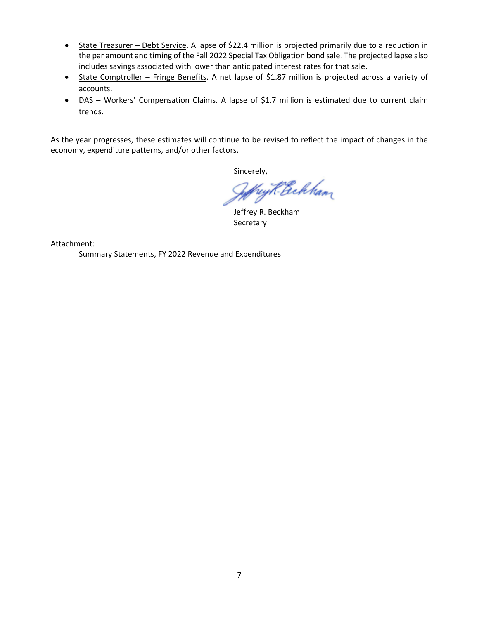- State Treasurer Debt Service. A lapse of \$22.4 million is projected primarily due to a reduction in the par amount and timing of the Fall 2022 Special Tax Obligation bond sale. The projected lapse also includes savings associated with lower than anticipated interest rates for that sale.
- State Comptroller Fringe Benefits. A net lapse of \$1.87 million is projected across a variety of accounts.
- DAS Workers' Compensation Claims. A lapse of \$1.7 million is estimated due to current claim trends.

As the year progresses, these estimates will continue to be revised to reflect the impact of changes in the economy, expenditure patterns, and/or other factors.

Sincerely,

hey K. Bekham

Jeffrey R. Beckham Secretary

Attachment:

Summary Statements, FY 2022 Revenue and Expenditures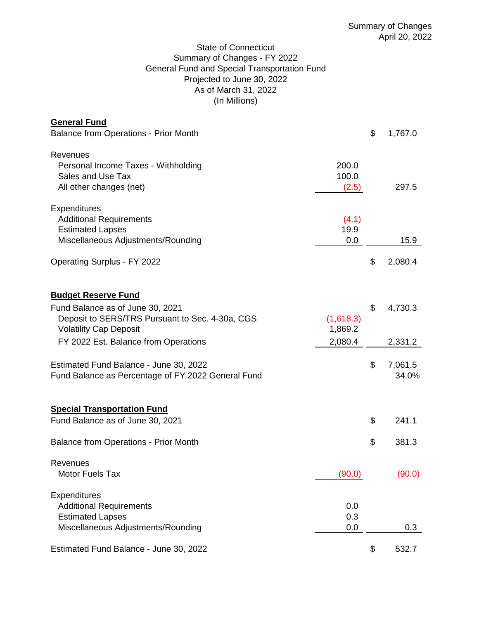# State of Connecticut Summary of Changes - FY 2022 General Fund and Special Transportation Fund Projected to June 30, 2022 As of March 31, 2022 (In Millions)

| <b>General Fund</b>                                                                                                                                                                        |                                 |                          |
|--------------------------------------------------------------------------------------------------------------------------------------------------------------------------------------------|---------------------------------|--------------------------|
| <b>Balance from Operations - Prior Month</b>                                                                                                                                               |                                 | \$<br>1,767.0            |
| Revenues<br>Personal Income Taxes - Withholding<br>Sales and Use Tax<br>All other changes (net)                                                                                            | 200.0<br>100.0<br>(2.5)         | 297.5                    |
| <b>Expenditures</b><br><b>Additional Requirements</b><br><b>Estimated Lapses</b><br>Miscellaneous Adjustments/Rounding                                                                     | (4.1)<br>19.9<br>0.0            | 15.9                     |
| <b>Operating Surplus - FY 2022</b>                                                                                                                                                         |                                 | \$<br>2,080.4            |
| <b>Budget Reserve Fund</b><br>Fund Balance as of June 30, 2021<br>Deposit to SERS/TRS Pursuant to Sec. 4-30a, CGS<br><b>Volatility Cap Deposit</b><br>FY 2022 Est. Balance from Operations | (1,618.3)<br>1,869.2<br>2,080.4 | \$<br>4,730.3<br>2,331.2 |
| Estimated Fund Balance - June 30, 2022<br>Fund Balance as Percentage of FY 2022 General Fund                                                                                               |                                 | \$<br>7,061.5<br>34.0%   |
| <b>Special Transportation Fund</b><br>Fund Balance as of June 30, 2021                                                                                                                     |                                 | \$<br>241.1              |
| <b>Balance from Operations - Prior Month</b>                                                                                                                                               |                                 | \$<br>381.3              |
| Revenues<br>Motor Fuels Tax                                                                                                                                                                | (90.0)                          | (90.0)                   |
| <b>Expenditures</b><br><b>Additional Requirements</b><br><b>Estimated Lapses</b><br>Miscellaneous Adjustments/Rounding                                                                     | 0.0<br>0.3<br>0.0               | 0.3                      |
| Estimated Fund Balance - June 30, 2022                                                                                                                                                     |                                 | \$<br>532.7              |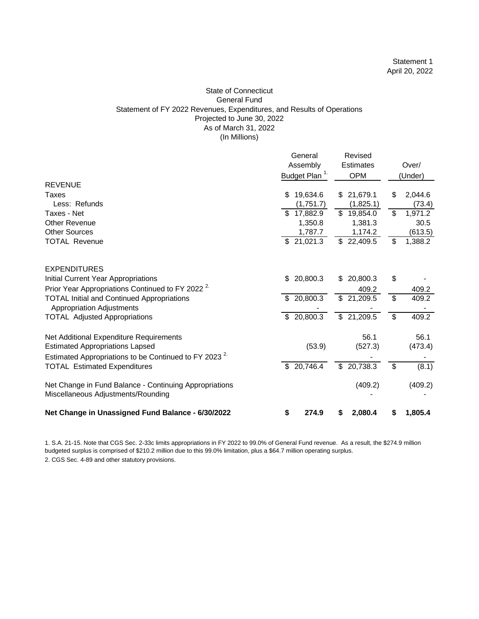#### State of Connecticut General Fund Statement of FY 2022 Revenues, Expenditures, and Results of Operations Projected to June 30, 2022 As of March 31, 2022 (In Millions)

|                                                                  | General                   | Revised          |                         |         |
|------------------------------------------------------------------|---------------------------|------------------|-------------------------|---------|
|                                                                  | Assembly                  | <b>Estimates</b> |                         | Over/   |
|                                                                  | Budget Plan <sup>1.</sup> | <b>OPM</b>       |                         | (Under) |
| <b>REVENUE</b>                                                   |                           |                  |                         |         |
| Taxes                                                            | \$<br>19,634.6            | 21,679.1<br>\$   | \$                      | 2,044.6 |
| Less: Refunds                                                    | (1,751.7)                 | (1,825.1)        |                         | (73.4)  |
| Taxes - Net                                                      | \$17,882.9                | \$19,854.0       | \$                      | 1,971.2 |
| <b>Other Revenue</b>                                             | 1,350.8                   | 1,381.3          |                         | 30.5    |
| <b>Other Sources</b>                                             | 1,787.7                   | 1,174.2          |                         | (613.5) |
| <b>TOTAL Revenue</b>                                             | \$21,021.3                | \$22,409.5       | \$                      | 1,388.2 |
| <b>EXPENDITURES</b>                                              |                           |                  |                         |         |
| Initial Current Year Appropriations                              | 20,800.3<br>\$            | 20,800.3<br>\$   | \$                      |         |
| Prior Year Appropriations Continued to FY 2022 <sup>2</sup>      |                           | 409.2            |                         | 409.2   |
| <b>TOTAL Initial and Continued Appropriations</b>                | 20,800.3                  | 21,209.5<br>\$   | $\overline{\mathbb{S}}$ | 409.2   |
| <b>Appropriation Adjustments</b>                                 |                           |                  |                         |         |
| <b>TOTAL Adjusted Appropriations</b>                             | 20,800.3<br>\$            | \$21,209.5       | \$                      | 409.2   |
| Net Additional Expenditure Requirements                          |                           | 56.1             |                         | 56.1    |
| <b>Estimated Appropriations Lapsed</b>                           | (53.9)                    | (527.3)          |                         | (473.4) |
| Estimated Appropriations to be Continued to FY 2023 <sup>2</sup> |                           |                  |                         |         |
| <b>TOTAL Estimated Expenditures</b>                              | \$20,746.4                | \$20,738.3       | \$                      | (8.1)   |
| Net Change in Fund Balance - Continuing Appropriations           |                           | (409.2)          |                         | (409.2) |
| Miscellaneous Adjustments/Rounding                               |                           |                  |                         |         |
| Net Change in Unassigned Fund Balance - 6/30/2022                | \$<br>274.9               | 2,080.4<br>\$    | S                       | 1,805.4 |

1. S.A. 21-15. Note that CGS Sec. 2-33c limits appropriations in FY 2022 to 99.0% of General Fund revenue. As a result, the \$274.9 million budgeted surplus is comprised of \$210.2 million due to this 99.0% limitation, plus a \$64.7 million operating surplus.

2. CGS Sec. 4-89 and other statutory provisions.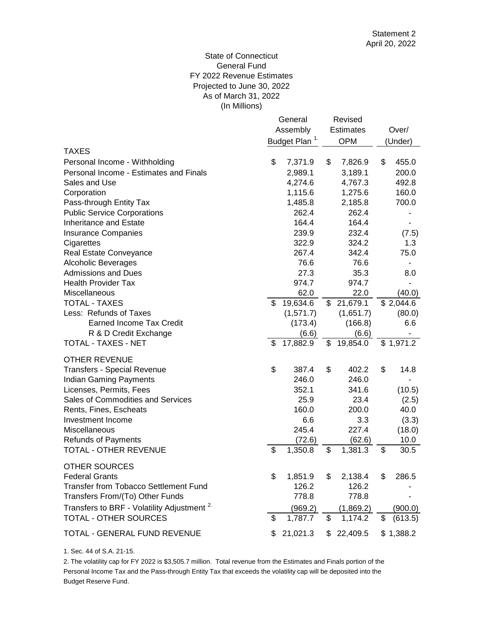#### (In Millions) State of Connecticut General Fund FY 2022 Revenue Estimates Projected to June 30, 2022 As of March 31, 2022

|                                                        | General  |                           |                  | Revised    |       |           |
|--------------------------------------------------------|----------|---------------------------|------------------|------------|-------|-----------|
|                                                        | Assembly |                           | <b>Estimates</b> |            | Over/ |           |
|                                                        |          | Budget Plan <sup>1.</sup> |                  | <b>OPM</b> |       | (Under)   |
| <b>TAXES</b>                                           |          |                           |                  |            |       |           |
| Personal Income - Withholding                          | \$       | 7,371.9                   | \$               | 7,826.9    | \$    | 455.0     |
| Personal Income - Estimates and Finals                 |          | 2,989.1                   |                  | 3,189.1    |       | 200.0     |
| Sales and Use                                          |          | 4,274.6                   |                  | 4,767.3    |       | 492.8     |
| Corporation                                            |          | 1,115.6                   |                  | 1,275.6    |       | 160.0     |
| Pass-through Entity Tax                                |          | 1,485.8                   |                  | 2,185.8    |       | 700.0     |
| <b>Public Service Corporations</b>                     |          | 262.4                     |                  | 262.4      |       |           |
| <b>Inheritance and Estate</b>                          |          | 164.4                     |                  | 164.4      |       |           |
| <b>Insurance Companies</b>                             |          | 239.9                     |                  | 232.4      |       | (7.5)     |
| Cigarettes                                             |          | 322.9                     |                  | 324.2      |       | 1.3       |
| Real Estate Conveyance                                 |          | 267.4                     |                  | 342.4      |       | 75.0      |
| <b>Alcoholic Beverages</b>                             |          | 76.6                      |                  | 76.6       |       |           |
| <b>Admissions and Dues</b>                             |          | 27.3                      |                  | 35.3       |       | 8.0       |
| <b>Health Provider Tax</b>                             |          | 974.7                     |                  | 974.7      |       |           |
| Miscellaneous                                          |          | 62.0                      |                  | 22.0       |       | (40.0)    |
| <b>TOTAL - TAXES</b>                                   | \$       | 19,634.6                  | \$               | 21,679.1   |       | \$2,044.6 |
| Less: Refunds of Taxes                                 |          | (1,571.7)                 |                  | (1,651.7)  |       | (80.0)    |
| <b>Earned Income Tax Credit</b>                        |          | (173.4)                   |                  | (166.8)    |       | 6.6       |
| R & D Credit Exchange                                  |          | (6.6)                     |                  | (6.6)      |       |           |
| TOTAL - TAXES - NET                                    | \$       | 17,882.9                  | \$               | 19,854.0   |       | \$1,971.2 |
| <b>OTHER REVENUE</b>                                   |          |                           |                  |            |       |           |
| <b>Transfers - Special Revenue</b>                     | \$       | 387.4                     | \$               | 402.2      | \$    | 14.8      |
| <b>Indian Gaming Payments</b>                          |          | 246.0                     |                  | 246.0      |       |           |
| Licenses, Permits, Fees                                |          | 352.1                     |                  | 341.6      |       | (10.5)    |
| Sales of Commodities and Services                      |          | 25.9                      |                  | 23.4       |       | (2.5)     |
| Rents, Fines, Escheats                                 |          | 160.0                     |                  | 200.0      |       | 40.0      |
| Investment Income                                      |          | 6.6                       |                  | 3.3        |       | (3.3)     |
| Miscellaneous                                          |          | 245.4                     |                  | 227.4      |       | (18.0)    |
| <b>Refunds of Payments</b>                             |          | (72.6)                    |                  | (62.6)     |       | 10.0      |
| <b>TOTAL - OTHER REVENUE</b>                           | \$       | 1,350.8                   | \$               | 1,381.3    | \$    | 30.5      |
|                                                        |          |                           |                  |            |       |           |
| OTHER SOURCES<br><b>Federal Grants</b>                 | \$       | 1,851.9                   | \$               | 2,138.4    | \$    | 286.5     |
| Transfer from Tobacco Settlement Fund                  |          | 126.2                     |                  | 126.2      |       |           |
| Transfers From/(To) Other Funds                        |          | 778.8                     |                  | 778.8      |       |           |
|                                                        |          |                           |                  |            |       |           |
| Transfers to BRF - Volatility Adjustment <sup>2.</sup> |          | (969.2)                   |                  | (1,869.2)  |       | (900.0)   |
| TOTAL - OTHER SOURCES                                  | \$       | 1,787.7                   | \$               | 1,174.2    | \$    | (613.5)   |
| <b>TOTAL - GENERAL FUND REVENUE</b>                    | S        | 21,021.3                  | S                | 22,409.5   |       | \$1,388.2 |

1. Sec. 44 of S.A. 21-15.

Budget Reserve Fund. 2. The volatility cap for FY 2022 is \$3,505.7 million. Total revenue from the Estimates and Finals portion of the Personal Income Tax and the Pass-through Entity Tax that exceeds the volatility cap will be deposited into the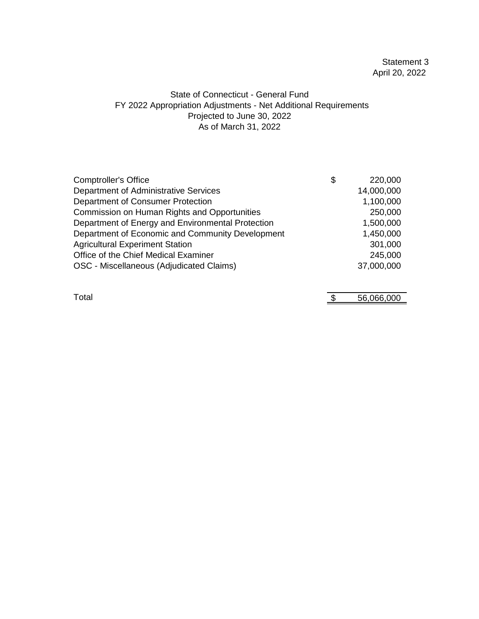# Statement 3 April 20, 2022

# State of Connecticut - General Fund FY 2022 Appropriation Adjustments - Net Additional Requirements As of March 31, 2022 Projected to June 30, 2022

| <b>Comptroller's Office</b>                       | \$<br>220,000 |
|---------------------------------------------------|---------------|
| Department of Administrative Services             | 14,000,000    |
| Department of Consumer Protection                 | 1,100,000     |
| Commission on Human Rights and Opportunities      | 250,000       |
| Department of Energy and Environmental Protection | 1,500,000     |
| Department of Economic and Community Development  | 1,450,000     |
| <b>Agricultural Experiment Station</b>            | 301,000       |
| Office of the Chief Medical Examiner              | 245,000       |
| OSC - Miscellaneous (Adjudicated Claims)          | 37,000,000    |
|                                                   |               |

 $\frac{1}{3}$  56,066,000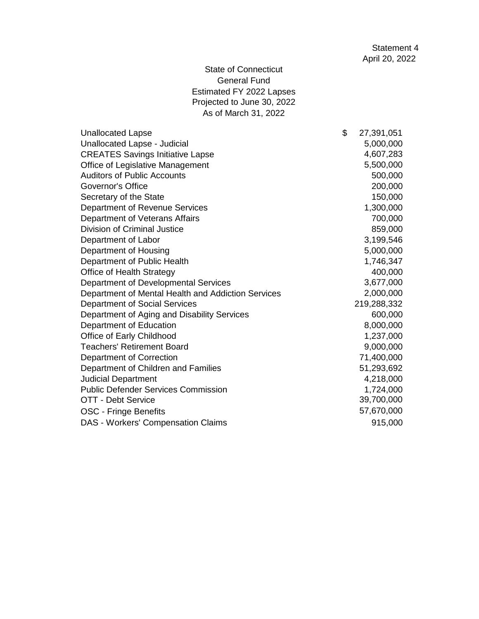State of Connecticut General Fund Estimated FY 2022 Lapses Projected to June 30, 2022 As of March 31, 2022

| <b>Unallocated Lapse</b>                           | \$<br>27,391,051 |
|----------------------------------------------------|------------------|
| Unallocated Lapse - Judicial                       | 5,000,000        |
| <b>CREATES Savings Initiative Lapse</b>            | 4,607,283        |
| Office of Legislative Management                   | 5,500,000        |
| <b>Auditors of Public Accounts</b>                 | 500,000          |
| <b>Governor's Office</b>                           | 200,000          |
| Secretary of the State                             | 150,000          |
| Department of Revenue Services                     | 1,300,000        |
| Department of Veterans Affairs                     | 700,000          |
| Division of Criminal Justice                       | 859,000          |
| Department of Labor                                | 3,199,546        |
| Department of Housing                              | 5,000,000        |
| Department of Public Health                        | 1,746,347        |
| Office of Health Strategy                          | 400,000          |
| Department of Developmental Services               | 3,677,000        |
| Department of Mental Health and Addiction Services | 2,000,000        |
| Department of Social Services                      | 219,288,332      |
| Department of Aging and Disability Services        | 600,000          |
| Department of Education                            | 8,000,000        |
| Office of Early Childhood                          | 1,237,000        |
| <b>Teachers' Retirement Board</b>                  | 9,000,000        |
| Department of Correction                           | 71,400,000       |
| Department of Children and Families                | 51,293,692       |
| <b>Judicial Department</b>                         | 4,218,000        |
| <b>Public Defender Services Commission</b>         | 1,724,000        |
| OTT - Debt Service                                 | 39,700,000       |
| <b>OSC</b> - Fringe Benefits                       | 57,670,000       |
| DAS - Workers' Compensation Claims                 | 915,000          |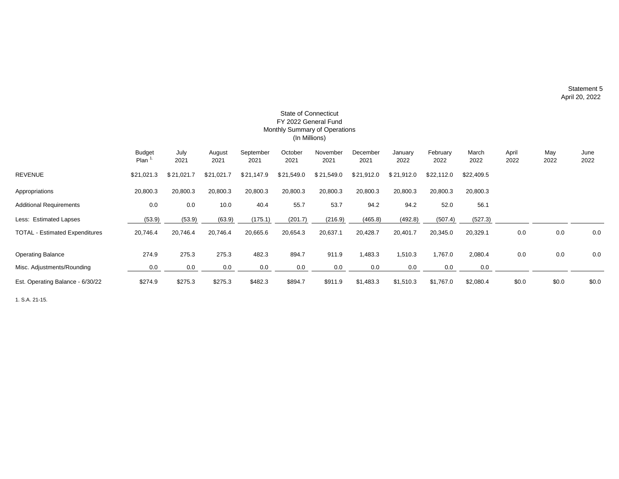Statement 5 April 20, 2022

| FY 2022 General Fund<br>Monthly Summary of Operations |                       |              |                |                   |                 |                  |                  |                 |                  |               |               |             |              |
|-------------------------------------------------------|-----------------------|--------------|----------------|-------------------|-----------------|------------------|------------------|-----------------|------------------|---------------|---------------|-------------|--------------|
|                                                       | (In Millions)         |              |                |                   |                 |                  |                  |                 |                  |               |               |             |              |
|                                                       | <b>Budget</b><br>Plan | July<br>2021 | August<br>2021 | September<br>2021 | October<br>2021 | November<br>2021 | December<br>2021 | January<br>2022 | February<br>2022 | March<br>2022 | April<br>2022 | May<br>2022 | June<br>2022 |
| <b>REVENUE</b>                                        | \$21,021.3            | \$21,021.7   | \$21,021.7     | \$21,147.9        | \$21,549.0      | \$21,549.0       | \$21,912.0       | \$21,912.0      | \$22,112.0       | \$22,409.5    |               |             |              |
| Appropriations                                        | 20,800.3              | 20,800.3     | 20,800.3       | 20,800.3          | 20,800.3        | 20,800.3         | 20,800.3         | 20,800.3        | 20,800.3         | 20,800.3      |               |             |              |
| <b>Additional Requirements</b>                        | 0.0                   | 0.0          | 10.0           | 40.4              | 55.7            | 53.7             | 94.2             | 94.2            | 52.0             | 56.1          |               |             |              |
| Less: Estimated Lapses                                | (53.9)                | (53.9)       | (63.9)         | (175.1)           | (201.7)         | (216.9)          | (465.8)          | (492.8)         | (507.4)          | (527.3)       |               |             |              |
| <b>TOTAL - Estimated Expenditures</b>                 | 20,746.4              | 20,746.4     | 20,746.4       | 20,665.6          | 20,654.3        | 20,637.1         | 20,428.7         | 20,401.7        | 20,345.0         | 20,329.1      | 0.0           | 0.0         | 0.0          |
| <b>Operating Balance</b>                              | 274.9                 | 275.3        | 275.3          | 482.3             | 894.7           | 911.9            | 1,483.3          | 1,510.3         | 1,767.0          | 2,080.4       | 0.0           | 0.0         | 0.0          |
| Misc. Adjustments/Rounding                            | 0.0                   | 0.0          | 0.0            | 0.0               | 0.0             | 0.0              | 0.0              | 0.0             | 0.0              | 0.0           |               |             |              |
| Est. Operating Balance - 6/30/22                      | \$274.9               | \$275.3      | \$275.3        | \$482.3           | \$894.7         | \$911.9          | \$1,483.3        | \$1,510.3       | \$1,767.0        | \$2,080.4     | \$0.0         | \$0.0       | \$0.0        |

# State of Connecticut

1. S.A. 21-15.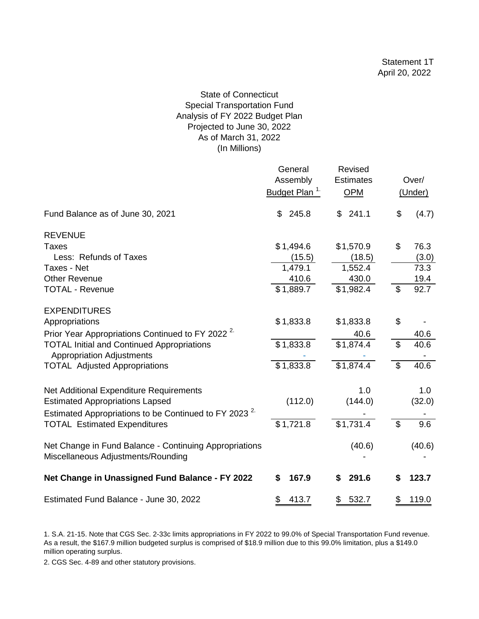# State of Connecticut Special Transportation Fund Analysis of FY 2022 Budget Plan Projected to June 30, 2022 As of March 31, 2022 (In Millions)

|                                                                                              | General<br>Assembly<br>Budget Plan <sup>1</sup> | Revised<br><b>Estimates</b><br><b>OPM</b> |                | Over/<br>(Under) |
|----------------------------------------------------------------------------------------------|-------------------------------------------------|-------------------------------------------|----------------|------------------|
| Fund Balance as of June 30, 2021                                                             | 245.8<br>\$                                     | 241.1<br>\$                               | \$             | (4.7)            |
| <b>REVENUE</b>                                                                               |                                                 |                                           |                |                  |
| Taxes                                                                                        | \$1,494.6                                       | \$1,570.9                                 | \$             | 76.3             |
| Less: Refunds of Taxes                                                                       | (15.5)                                          | (18.5)                                    |                | (3.0)            |
| <b>Taxes - Net</b>                                                                           | 1,479.1                                         | 1,552.4                                   |                | 73.3             |
| <b>Other Revenue</b>                                                                         | 410.6                                           | 430.0                                     |                | 19.4             |
| <b>TOTAL - Revenue</b>                                                                       | \$1,889.7                                       | \$1,982.4                                 | $\mathfrak{S}$ | 92.7             |
| <b>EXPENDITURES</b>                                                                          |                                                 |                                           |                |                  |
| Appropriations                                                                               | \$1,833.8                                       | \$1,833.8                                 | \$             |                  |
| Prior Year Appropriations Continued to FY 2022 <sup>2</sup>                                  |                                                 | 40.6                                      |                | 40.6             |
| <b>TOTAL Initial and Continued Appropriations</b>                                            | \$1,833.8                                       | \$1,874.4                                 | \$             | 40.6             |
| <b>Appropriation Adjustments</b>                                                             |                                                 |                                           |                |                  |
| <b>TOTAL Adjusted Appropriations</b>                                                         | \$1,833.8                                       | \$1,874.4                                 | \$             | 40.6             |
| Net Additional Expenditure Requirements                                                      |                                                 | 1.0                                       |                | 1.0              |
| <b>Estimated Appropriations Lapsed</b>                                                       | (112.0)                                         | (144.0)                                   |                | (32.0)           |
| Estimated Appropriations to be Continued to FY 2023 <sup>2.</sup>                            |                                                 |                                           |                |                  |
| <b>TOTAL Estimated Expenditures</b>                                                          | \$1,721.8                                       | \$1,731.4                                 | $\mathfrak{L}$ | 9.6              |
| Net Change in Fund Balance - Continuing Appropriations<br>Miscellaneous Adjustments/Rounding |                                                 | (40.6)                                    |                | (40.6)           |
| Net Change in Unassigned Fund Balance - FY 2022                                              | \$<br>167.9                                     | \$<br>291.6                               | \$             | 123.7            |
| Estimated Fund Balance - June 30, 2022                                                       | \$<br>413.7                                     | 532.7<br>\$                               | \$             | 119.0            |

<sup>1.</sup> S.A. 21-15. Note that CGS Sec. 2-33c limits appropriations in FY 2022 to 99.0% of Special Transportation Fund revenue. As a result, the \$167.9 million budgeted surplus is comprised of \$18.9 million due to this 99.0% limitation, plus a \$149.0 million operating surplus.

2. CGS Sec. 4-89 and other statutory provisions.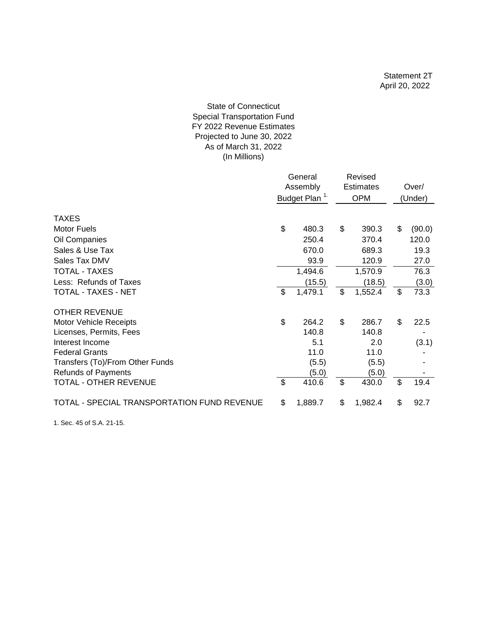#### As of March 31, 2022 (In Millions) State of Connecticut Special Transportation Fund FY 2022 Revenue Estimates Projected to June 30, 2022

|                                             | General<br>Assembly<br>Budget Plan <sup>1.</sup> |         | Revised<br><b>Estimates</b><br><b>OPM</b> |         | Over/<br>(Under) |
|---------------------------------------------|--------------------------------------------------|---------|-------------------------------------------|---------|------------------|
|                                             |                                                  |         |                                           |         |                  |
| <b>TAXES</b>                                |                                                  |         |                                           |         |                  |
| <b>Motor Fuels</b>                          | \$                                               | 480.3   | \$                                        | 390.3   | \$<br>(90.0)     |
| Oil Companies                               |                                                  | 250.4   |                                           | 370.4   | 120.0            |
| Sales & Use Tax                             |                                                  | 670.0   |                                           | 689.3   | 19.3             |
| Sales Tax DMV                               |                                                  | 93.9    |                                           | 120.9   | 27.0             |
| <b>TOTAL - TAXES</b>                        |                                                  | 1,494.6 |                                           | 1,570.9 | 76.3             |
| Less: Refunds of Taxes                      |                                                  | (15.5)  |                                           | (18.5)  | (3.0)            |
| TOTAL - TAXES - NET                         | $\mathfrak{S}$                                   | 1,479.1 | \$                                        | 1,552.4 | \$<br>73.3       |
| <b>OTHER REVENUE</b>                        |                                                  |         |                                           |         |                  |
| <b>Motor Vehicle Receipts</b>               | \$                                               | 264.2   | \$                                        | 286.7   | \$<br>22.5       |
| Licenses, Permits, Fees                     |                                                  | 140.8   |                                           | 140.8   |                  |
| Interest Income                             |                                                  | 5.1     |                                           | 2.0     | (3.1)            |
| <b>Federal Grants</b>                       |                                                  | 11.0    |                                           | 11.0    |                  |
| Transfers (To)/From Other Funds             |                                                  | (5.5)   |                                           | (5.5)   |                  |
| <b>Refunds of Payments</b>                  |                                                  | (5.0)   |                                           | (5.0)   |                  |
| <b>TOTAL - OTHER REVENUE</b>                | $\mathbb{S}$                                     | 410.6   | \$                                        | 430.0   | \$<br>19.4       |
| TOTAL - SPECIAL TRANSPORTATION FUND REVENUE | \$                                               | 1,889.7 | \$                                        | 1,982.4 | \$<br>92.7       |

1. Sec. 45 of S.A. 21-15.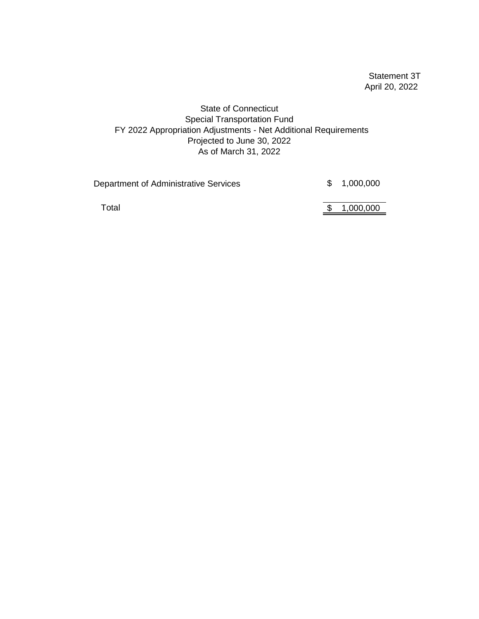Statement 3T April 20, 2022

State of Connecticut Special Transportation Fund FY 2022 Appropriation Adjustments - Net Additional Requirements Projected to June 30, 2022 As of March 31, 2022

| Department of Administrative Services | \$1,000,000 |
|---------------------------------------|-------------|
| Total                                 | \$1,000,000 |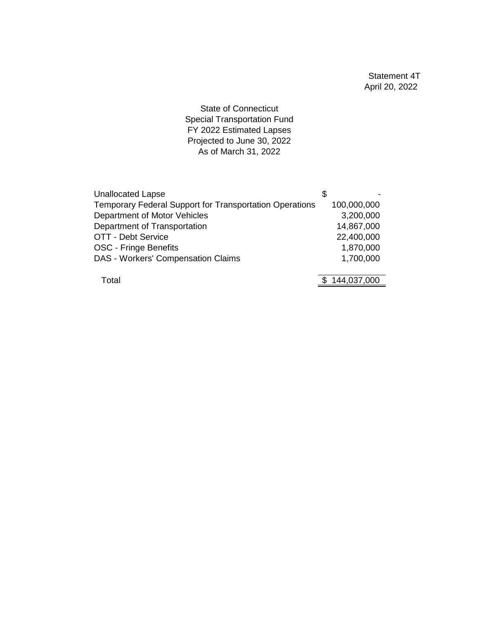Statement 4T April 20, 2022

State of Connecticut Special Transportation Fund FY 2022 Estimated Lapses Projected to June 30, 2022 As of March 31, 2022

| <b>Unallocated Lapse</b>                                |             |
|---------------------------------------------------------|-------------|
| Temporary Federal Support for Transportation Operations | 100,000,000 |
| Department of Motor Vehicles                            | 3,200,000   |
| Department of Transportation                            | 14,867,000  |
| OTT - Debt Service                                      | 22,400,000  |
| <b>OSC - Fringe Benefits</b>                            | 1,870,000   |
| DAS - Workers' Compensation Claims                      | 1,700,000   |
|                                                         |             |
| Total                                                   | 144,037,000 |